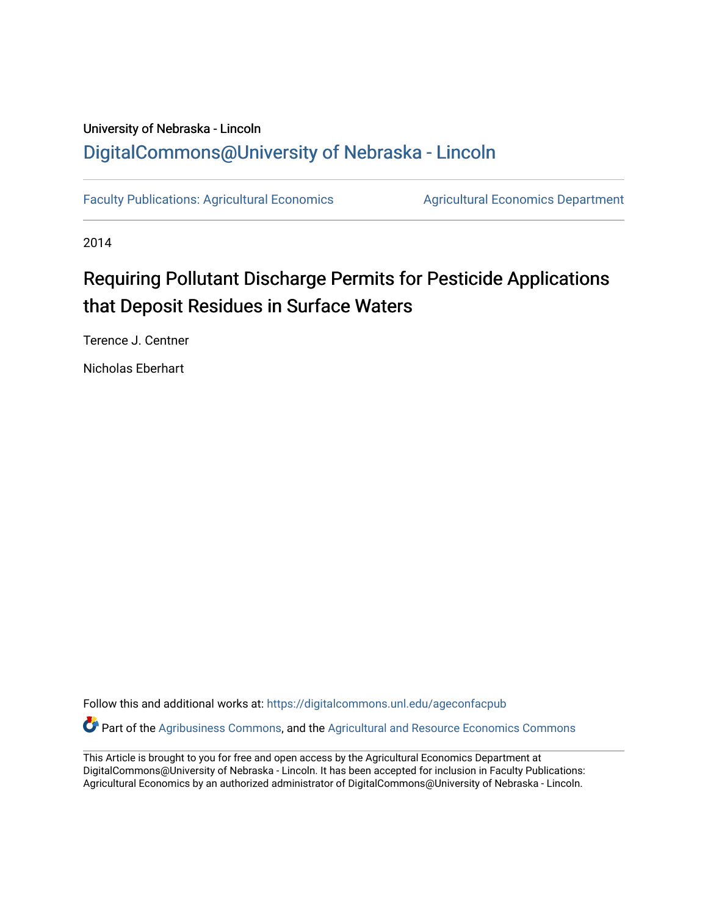## University of Nebraska - Lincoln [DigitalCommons@University of Nebraska - Lincoln](https://digitalcommons.unl.edu/)

[Faculty Publications: Agricultural Economics](https://digitalcommons.unl.edu/ageconfacpub) [Agricultural Economics Department](https://digitalcommons.unl.edu/ag_econ) 

2014

# Requiring Pollutant Discharge Permits for Pesticide Applications that Deposit Residues in Surface Waters

Terence J. Centner

Nicholas Eberhart

Follow this and additional works at: [https://digitalcommons.unl.edu/ageconfacpub](https://digitalcommons.unl.edu/ageconfacpub?utm_source=digitalcommons.unl.edu%2Fageconfacpub%2F225&utm_medium=PDF&utm_campaign=PDFCoverPages)

Part of the [Agribusiness Commons,](http://network.bepress.com/hgg/discipline/1051?utm_source=digitalcommons.unl.edu%2Fageconfacpub%2F225&utm_medium=PDF&utm_campaign=PDFCoverPages) and the [Agricultural and Resource Economics Commons](http://network.bepress.com/hgg/discipline/317?utm_source=digitalcommons.unl.edu%2Fageconfacpub%2F225&utm_medium=PDF&utm_campaign=PDFCoverPages)

This Article is brought to you for free and open access by the Agricultural Economics Department at DigitalCommons@University of Nebraska - Lincoln. It has been accepted for inclusion in Faculty Publications: Agricultural Economics by an authorized administrator of DigitalCommons@University of Nebraska - Lincoln.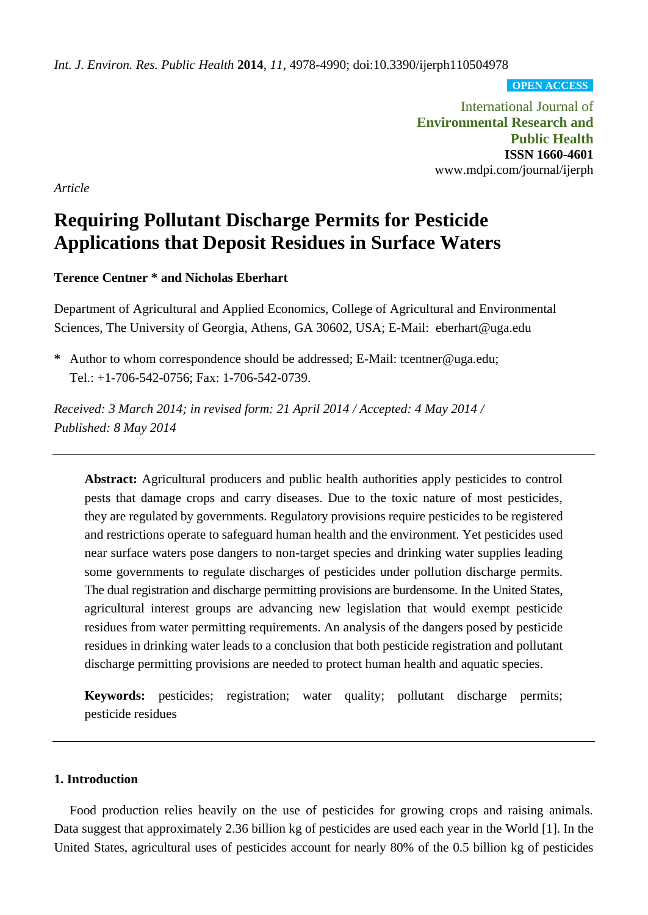*Int. J. Environ. Res. Public Health* **2014**, *11*, 4978-4990; doi:10.3390/ijerph110504978

**OPEN ACCESS**

International Journal of **Environmental Research and Public Health ISSN 1660-4601** www.mdpi.com/journal/ijerph

*Article*

## **Requiring Pollutant Discharge Permits for Pesticide Applications that Deposit Residues in Surface Waters**

**Terence Centner \* and Nicholas Eberhart**

Department of Agricultural and Applied Economics, College of Agricultural and Environmental Sciences, The University of Georgia, Athens, GA 30602, USA; E-Mail: eberhart@uga.edu

**\*** Author to whom correspondence should be addressed; E-Mail: tcentner@uga.edu; Tel.: +1-706-542-0756; Fax: 1-706-542-0739.

*Received: 3 March 2014; in revised form: 21 April 2014 / Accepted: 4 May 2014 / Published: 8 May 2014*

**Abstract:** Agricultural producers and public health authorities apply pesticides to control pests that damage crops and carry diseases. Due to the toxic nature of most pesticides, they are regulated by governments. Regulatory provisions require pesticides to be registered and restrictions operate to safeguard human health and the environment. Yet pesticides used near surface waters pose dangers to non-target species and drinking water supplies leading some governments to regulate discharges of pesticides under pollution discharge permits. The dual registration and discharge permitting provisions are burdensome. In the United States, agricultural interest groups are advancing new legislation that would exempt pesticide residues from water permitting requirements. An analysis of the dangers posed by pesticide residues in drinking water leads to a conclusion that both pesticide registration and pollutant discharge permitting provisions are needed to protect human health and aquatic species.

**Keywords:** pesticides; registration; water quality; pollutant discharge permits; pesticide residues

## **1. Introduction**

Food production relies heavily on the use of pesticides for growing crops and raising animals. Data suggest that approximately 2.36 billion kg of pesticides are used each year in the World [1]. In the United States, agricultural uses of pesticides account for nearly 80% of the 0.5 billion kg of pesticides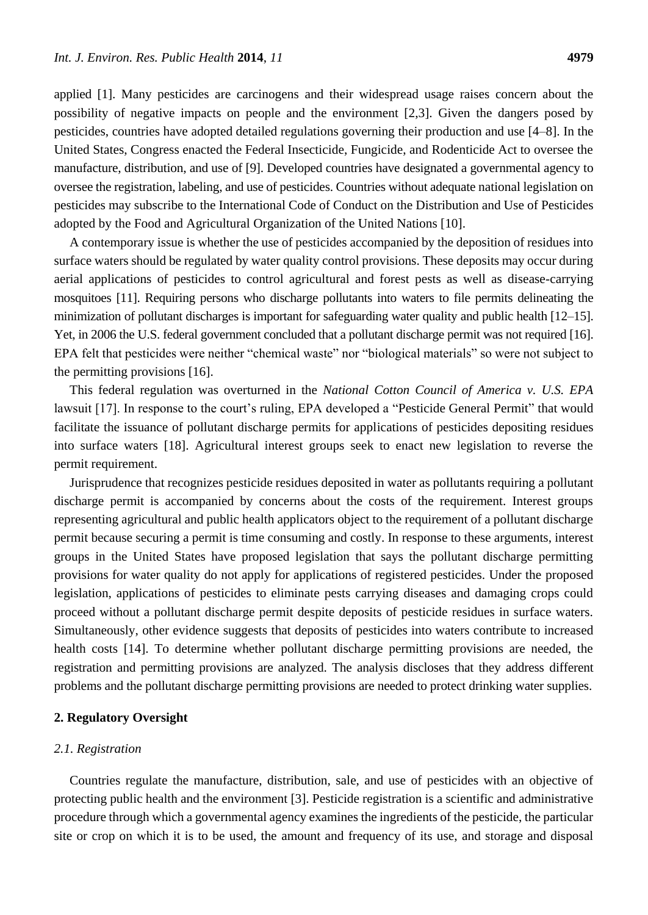applied [1]. Many pesticides are carcinogens and their widespread usage raises concern about the possibility of negative impacts on people and the environment [2,3]. Given the dangers posed by pesticides, countries have adopted detailed regulations governing their production and use [4–8]. In the United States, Congress enacted the Federal Insecticide, Fungicide, and Rodenticide Act to oversee the manufacture, distribution, and use of [9]. Developed countries have designated a governmental agency to oversee the registration, labeling, and use of pesticides. Countries without adequate national legislation on pesticides may subscribe to the International Code of Conduct on the Distribution and Use of Pesticides adopted by the Food and Agricultural Organization of the United Nations [10].

A contemporary issue is whether the use of pesticides accompanied by the deposition of residues into surface waters should be regulated by water quality control provisions. These deposits may occur during aerial applications of pesticides to control agricultural and forest pests as well as disease-carrying mosquitoes [11]. Requiring persons who discharge pollutants into waters to file permits delineating the minimization of pollutant discharges is important for safeguarding water quality and public health [12–15]. Yet, in 2006 the U.S. federal government concluded that a pollutant discharge permit was not required [16]. EPA felt that pesticides were neither "chemical waste" nor "biological materials" so were not subject to the permitting provisions [16].

This federal regulation was overturned in the *National Cotton Council of America v. U.S. EPA* lawsuit [17]. In response to the court's ruling, EPA developed a "Pesticide General Permit" that would facilitate the issuance of pollutant discharge permits for applications of pesticides depositing residues into surface waters [18]. Agricultural interest groups seek to enact new legislation to reverse the permit requirement.

Jurisprudence that recognizes pesticide residues deposited in water as pollutants requiring a pollutant discharge permit is accompanied by concerns about the costs of the requirement. Interest groups representing agricultural and public health applicators object to the requirement of a pollutant discharge permit because securing a permit is time consuming and costly. In response to these arguments, interest groups in the United States have proposed legislation that says the pollutant discharge permitting provisions for water quality do not apply for applications of registered pesticides. Under the proposed legislation, applications of pesticides to eliminate pests carrying diseases and damaging crops could proceed without a pollutant discharge permit despite deposits of pesticide residues in surface waters. Simultaneously, other evidence suggests that deposits of pesticides into waters contribute to increased health costs [14]. To determine whether pollutant discharge permitting provisions are needed, the registration and permitting provisions are analyzed. The analysis discloses that they address different problems and the pollutant discharge permitting provisions are needed to protect drinking water supplies.

## **2. Regulatory Oversight**

## *2.1. Registration*

Countries regulate the manufacture, distribution, sale, and use of pesticides with an objective of protecting public health and the environment [3]. Pesticide registration is a scientific and administrative procedure through which a governmental agency examines the ingredients of the pesticide, the particular site or crop on which it is to be used, the amount and frequency of its use, and storage and disposal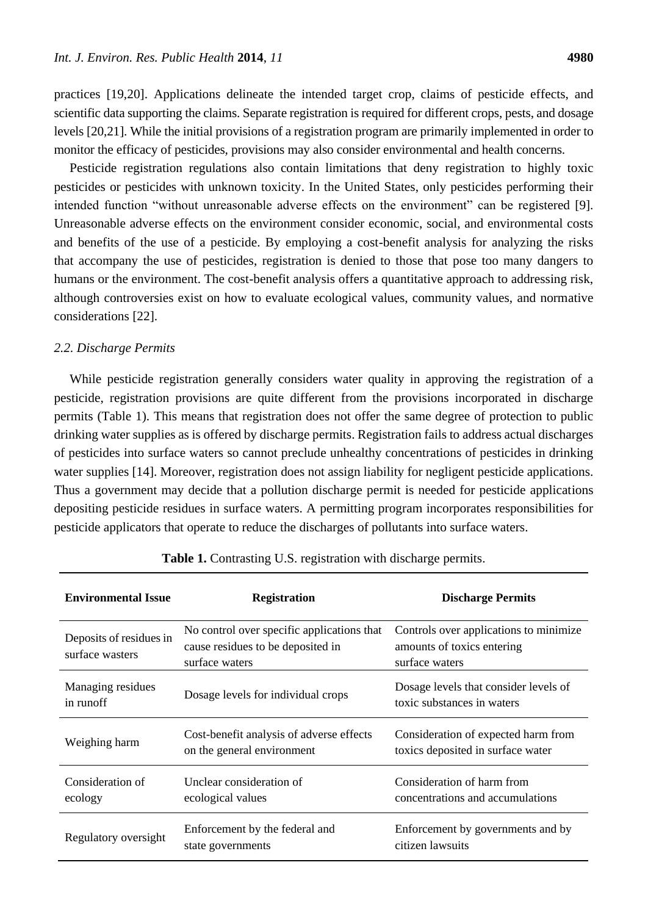practices [19,20]. Applications delineate the intended target crop, claims of pesticide effects, and scientific data supporting the claims. Separate registration is required for different crops, pests, and dosage levels [20,21]. While the initial provisions of a registration program are primarily implemented in order to monitor the efficacy of pesticides, provisions may also consider environmental and health concerns.

Pesticide registration regulations also contain limitations that deny registration to highly toxic pesticides or pesticides with unknown toxicity. In the United States, only pesticides performing their intended function "without unreasonable adverse effects on the environment" can be registered [9]. Unreasonable adverse effects on the environment consider economic, social, and environmental costs and benefits of the use of a pesticide. By employing a cost-benefit analysis for analyzing the risks that accompany the use of pesticides, registration is denied to those that pose too many dangers to humans or the environment. The cost-benefit analysis offers a quantitative approach to addressing risk, although controversies exist on how to evaluate ecological values, community values, and normative considerations [22].

#### *2.2. Discharge Permits*

While pesticide registration generally considers water quality in approving the registration of a pesticide, registration provisions are quite different from the provisions incorporated in discharge permits (Table 1). This means that registration does not offer the same degree of protection to public drinking water supplies as is offered by discharge permits. Registration fails to address actual discharges of pesticides into surface waters so cannot preclude unhealthy concentrations of pesticides in drinking water supplies [14]. Moreover, registration does not assign liability for negligent pesticide applications. Thus a government may decide that a pollution discharge permit is needed for pesticide applications depositing pesticide residues in surface waters. A permitting program incorporates responsibilities for pesticide applicators that operate to reduce the discharges of pollutants into surface waters.

| <b>Environmental Issue</b>                 | <b>Registration</b>                                                                               | <b>Discharge Permits</b>                                                               |
|--------------------------------------------|---------------------------------------------------------------------------------------------------|----------------------------------------------------------------------------------------|
| Deposits of residues in<br>surface wasters | No control over specific applications that<br>cause residues to be deposited in<br>surface waters | Controls over applications to minimize<br>amounts of toxics entering<br>surface waters |
| Managing residues<br>in runoff             | Dosage levels for individual crops                                                                | Dosage levels that consider levels of<br>toxic substances in waters                    |
| Weighing harm                              | Cost-benefit analysis of adverse effects<br>on the general environment                            | Consideration of expected harm from<br>toxics deposited in surface water               |
| Consideration of<br>ecology                | Unclear consideration of<br>ecological values                                                     | Consideration of harm from<br>concentrations and accumulations                         |
| Regulatory oversight                       | Enforcement by the federal and<br>state governments                                               | Enforcement by governments and by<br>citizen lawsuits                                  |

|  |  | Table 1. Contrasting U.S. registration with discharge permits. |
|--|--|----------------------------------------------------------------|
|--|--|----------------------------------------------------------------|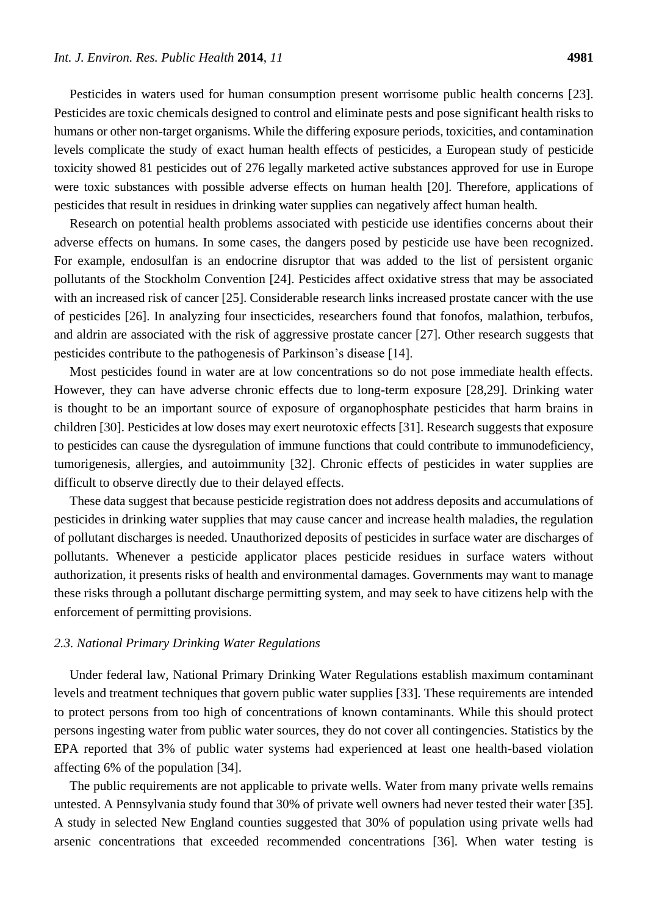Pesticides in waters used for human consumption present worrisome public health concerns [23]. Pesticides are toxic chemicals designed to control and eliminate pests and pose significant health risks to humans or other non-target organisms. While the differing exposure periods, toxicities, and contamination levels complicate the study of exact human health effects of pesticides, a European study of pesticide toxicity showed 81 pesticides out of 276 legally marketed active substances approved for use in Europe were toxic substances with possible adverse effects on human health [20]. Therefore, applications of pesticides that result in residues in drinking water supplies can negatively affect human health.

Research on potential health problems associated with pesticide use identifies concerns about their adverse effects on humans. In some cases, the dangers posed by pesticide use have been recognized. For example, endosulfan is an endocrine disruptor that was added to the list of persistent organic pollutants of the Stockholm Convention [24]. Pesticides affect oxidative stress that may be associated with an increased risk of cancer [25]. Considerable research links increased prostate cancer with the use of pesticides [26]. In analyzing four insecticides, researchers found that fonofos, malathion, terbufos, and aldrin are associated with the risk of aggressive prostate cancer [27]. Other research suggests that pesticides contribute to the pathogenesis of Parkinson's disease [14].

Most pesticides found in water are at low concentrations so do not pose immediate health effects. However, they can have adverse chronic effects due to long-term exposure [28,29]. Drinking water is thought to be an important source of exposure of organophosphate pesticides that harm brains in children [30]. Pesticides at low doses may exert neurotoxic effects [31]. Research suggests that exposure to pesticides can cause the dysregulation of immune functions that could contribute to immunodeficiency, tumorigenesis, allergies, and autoimmunity [32]. Chronic effects of pesticides in water supplies are difficult to observe directly due to their delayed effects.

These data suggest that because pesticide registration does not address deposits and accumulations of pesticides in drinking water supplies that may cause cancer and increase health maladies, the regulation of pollutant discharges is needed. Unauthorized deposits of pesticides in surface water are discharges of pollutants. Whenever a pesticide applicator places pesticide residues in surface waters without authorization, it presents risks of health and environmental damages. Governments may want to manage these risks through a pollutant discharge permitting system, and may seek to have citizens help with the enforcement of permitting provisions.

#### *2.3. National Primary Drinking Water Regulations*

Under federal law, National Primary Drinking Water Regulations establish maximum contaminant levels and treatment techniques that govern public water supplies [33]. These requirements are intended to protect persons from too high of concentrations of known contaminants. While this should protect persons ingesting water from public water sources, they do not cover all contingencies. Statistics by the EPA reported that 3% of public water systems had experienced at least one health-based violation affecting 6% of the population [34].

The public requirements are not applicable to private wells. Water from many private wells remains untested. A Pennsylvania study found that 30% of private well owners had never tested their water [35]. A study in selected New England counties suggested that 30% of population using private wells had arsenic concentrations that exceeded recommended concentrations [36]. When water testing is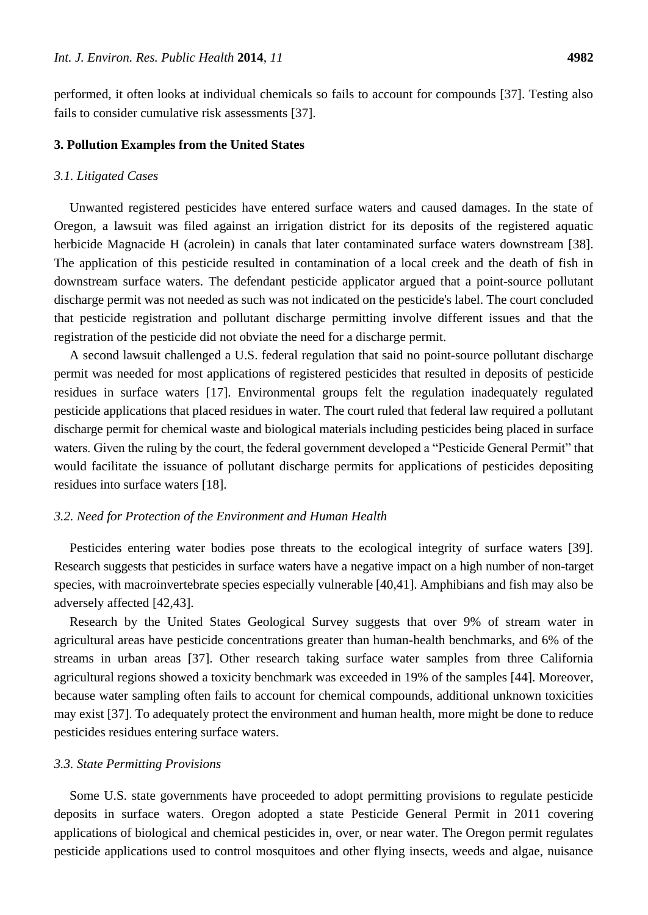performed, it often looks at individual chemicals so fails to account for compounds [37]. Testing also fails to consider cumulative risk assessments [37].

#### **3. Pollution Examples from the United States**

#### *3.1. Litigated Cases*

Unwanted registered pesticides have entered surface waters and caused damages. In the state of Oregon, a lawsuit was filed against an irrigation district for its deposits of the registered aquatic herbicide Magnacide H (acrolein) in canals that later contaminated surface waters downstream [38]. The application of this pesticide resulted in contamination of a local creek and the death of fish in downstream surface waters. The defendant pesticide applicator argued that a point-source pollutant discharge permit was not needed as such was not indicated on the pesticide's label. The court concluded that pesticide registration and pollutant discharge permitting involve different issues and that the registration of the pesticide did not obviate the need for a discharge permit.

A second lawsuit challenged a U.S. federal regulation that said no point-source pollutant discharge permit was needed for most applications of registered pesticides that resulted in deposits of pesticide residues in surface waters [17]. Environmental groups felt the regulation inadequately regulated pesticide applications that placed residues in water. The court ruled that federal law required a pollutant discharge permit for chemical waste and biological materials including pesticides being placed in surface waters. Given the ruling by the court, the federal government developed a "Pesticide General Permit" that would facilitate the issuance of pollutant discharge permits for applications of pesticides depositing residues into surface waters [18].

## *3.2. Need for Protection of the Environment and Human Health*

Pesticides entering water bodies pose threats to the ecological integrity of surface waters [39]. Research suggests that pesticides in surface waters have a negative impact on a high number of non-target species, with macroinvertebrate species especially vulnerable [40,41]. Amphibians and fish may also be adversely affected [42,43].

Research by the United States Geological Survey suggests that over 9% of stream water in agricultural areas have pesticide concentrations greater than human-health benchmarks, and 6% of the streams in urban areas [37]. Other research taking surface water samples from three California agricultural regions showed a toxicity benchmark was exceeded in 19% of the samples [44]. Moreover, because water sampling often fails to account for chemical compounds, additional unknown toxicities may exist [37]. To adequately protect the environment and human health, more might be done to reduce pesticides residues entering surface waters.

#### *3.3. State Permitting Provisions*

Some U.S. state governments have proceeded to adopt permitting provisions to regulate pesticide deposits in surface waters. Oregon adopted a state Pesticide General Permit in 2011 covering applications of biological and chemical pesticides in, over, or near water. The Oregon permit regulates pesticide applications used to control mosquitoes and other flying insects, weeds and algae, nuisance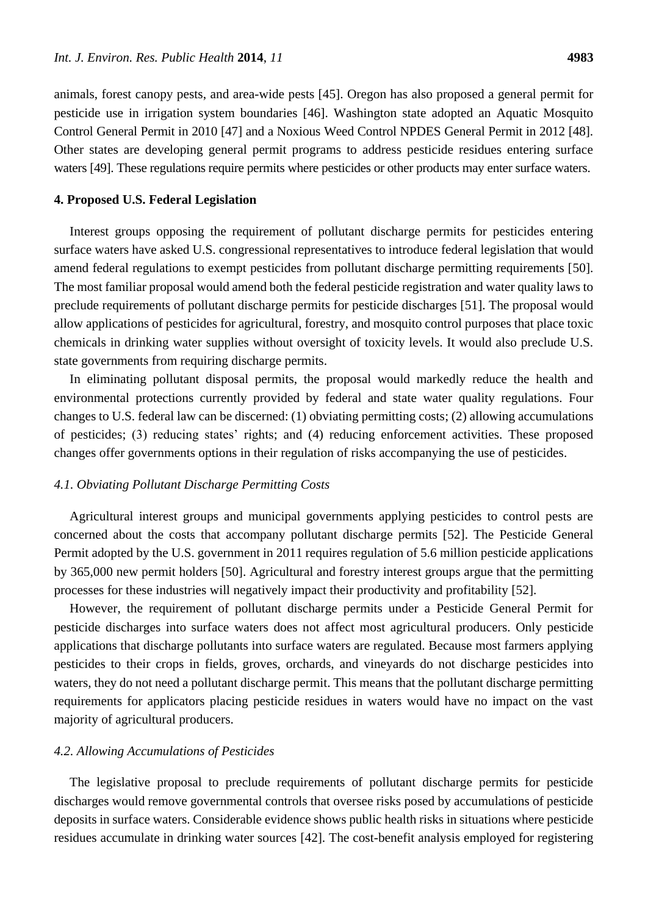animals, forest canopy pests, and area-wide pests [45]. Oregon has also proposed a general permit for pesticide use in irrigation system boundaries [46]. Washington state adopted an Aquatic Mosquito Control General Permit in 2010 [47] and a Noxious Weed Control NPDES General Permit in 2012 [48]. Other states are developing general permit programs to address pesticide residues entering surface waters [49]. These regulations require permits where pesticides or other products may enter surface waters.

#### **4. Proposed U.S. Federal Legislation**

Interest groups opposing the requirement of pollutant discharge permits for pesticides entering surface waters have asked U.S. congressional representatives to introduce federal legislation that would amend federal regulations to exempt pesticides from pollutant discharge permitting requirements [50]. The most familiar proposal would amend both the federal pesticide registration and water quality laws to preclude requirements of pollutant discharge permits for pesticide discharges [51]. The proposal would allow applications of pesticides for agricultural, forestry, and mosquito control purposes that place toxic chemicals in drinking water supplies without oversight of toxicity levels. It would also preclude U.S. state governments from requiring discharge permits.

In eliminating pollutant disposal permits, the proposal would markedly reduce the health and environmental protections currently provided by federal and state water quality regulations. Four changes to U.S. federal law can be discerned: (1) obviating permitting costs; (2) allowing accumulations of pesticides; (3) reducing states' rights; and (4) reducing enforcement activities. These proposed changes offer governments options in their regulation of risks accompanying the use of pesticides.

#### *4.1. Obviating Pollutant Discharge Permitting Costs*

Agricultural interest groups and municipal governments applying pesticides to control pests are concerned about the costs that accompany pollutant discharge permits [52]. The Pesticide General Permit adopted by the U.S. government in 2011 requires regulation of 5.6 million pesticide applications by 365,000 new permit holders [50]. Agricultural and forestry interest groups argue that the permitting processes for these industries will negatively impact their productivity and profitability [52].

However, the requirement of pollutant discharge permits under a Pesticide General Permit for pesticide discharges into surface waters does not affect most agricultural producers. Only pesticide applications that discharge pollutants into surface waters are regulated. Because most farmers applying pesticides to their crops in fields, groves, orchards, and vineyards do not discharge pesticides into waters, they do not need a pollutant discharge permit. This means that the pollutant discharge permitting requirements for applicators placing pesticide residues in waters would have no impact on the vast majority of agricultural producers.

#### *4.2. Allowing Accumulations of Pesticides*

The legislative proposal to preclude requirements of pollutant discharge permits for pesticide discharges would remove governmental controls that oversee risks posed by accumulations of pesticide deposits in surface waters. Considerable evidence shows public health risks in situations where pesticide residues accumulate in drinking water sources [42]. The cost-benefit analysis employed for registering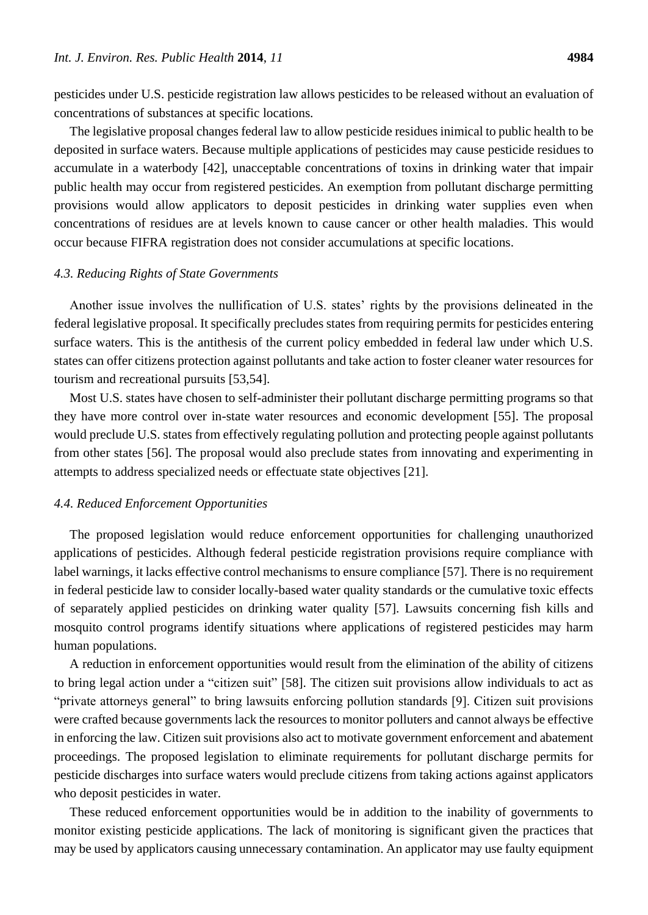concentrations of substances at specific locations.

pesticides under U.S. pesticide registration law allows pesticides to be released without an evaluation of

The legislative proposal changes federal law to allow pesticide residues inimical to public health to be deposited in surface waters. Because multiple applications of pesticides may cause pesticide residues to accumulate in a waterbody [42], unacceptable concentrations of toxins in drinking water that impair public health may occur from registered pesticides. An exemption from pollutant discharge permitting provisions would allow applicators to deposit pesticides in drinking water supplies even when concentrations of residues are at levels known to cause cancer or other health maladies. This would occur because FIFRA registration does not consider accumulations at specific locations.

#### *4.3. Reducing Rights of State Governments*

Another issue involves the nullification of U.S. states' rights by the provisions delineated in the federal legislative proposal. It specifically precludes states from requiring permits for pesticides entering surface waters. This is the antithesis of the current policy embedded in federal law under which U.S. states can offer citizens protection against pollutants and take action to foster cleaner water resources for tourism and recreational pursuits [53,54].

Most U.S. states have chosen to self-administer their pollutant discharge permitting programs so that they have more control over in-state water resources and economic development [55]. The proposal would preclude U.S. states from effectively regulating pollution and protecting people against pollutants from other states [56]. The proposal would also preclude states from innovating and experimenting in attempts to address specialized needs or effectuate state objectives [21].

#### *4.4. Reduced Enforcement Opportunities*

The proposed legislation would reduce enforcement opportunities for challenging unauthorized applications of pesticides. Although federal pesticide registration provisions require compliance with label warnings, it lacks effective control mechanisms to ensure compliance [57]. There is no requirement in federal pesticide law to consider locally-based water quality standards or the cumulative toxic effects of separately applied pesticides on drinking water quality [57]. Lawsuits concerning fish kills and mosquito control programs identify situations where applications of registered pesticides may harm human populations.

A reduction in enforcement opportunities would result from the elimination of the ability of citizens to bring legal action under a "citizen suit" [58]. The citizen suit provisions allow individuals to act as "private attorneys general" to bring lawsuits enforcing pollution standards [9]. Citizen suit provisions were crafted because governments lack the resources to monitor polluters and cannot always be effective in enforcing the law. Citizen suit provisions also act to motivate government enforcement and abatement proceedings. The proposed legislation to eliminate requirements for pollutant discharge permits for pesticide discharges into surface waters would preclude citizens from taking actions against applicators who deposit pesticides in water.

These reduced enforcement opportunities would be in addition to the inability of governments to monitor existing pesticide applications. The lack of monitoring is significant given the practices that may be used by applicators causing unnecessary contamination. An applicator may use faulty equipment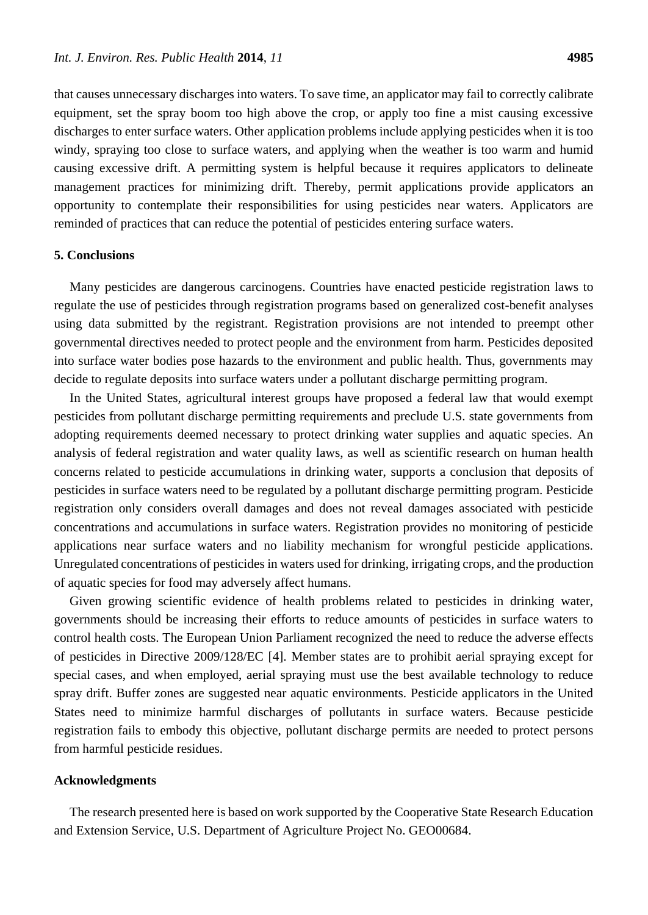that causes unnecessary discharges into waters. To save time, an applicator may fail to correctly calibrate equipment, set the spray boom too high above the crop, or apply too fine a mist causing excessive discharges to enter surface waters. Other application problems include applying pesticides when it is too windy, spraying too close to surface waters, and applying when the weather is too warm and humid causing excessive drift. A permitting system is helpful because it requires applicators to delineate management practices for minimizing drift. Thereby, permit applications provide applicators an opportunity to contemplate their responsibilities for using pesticides near waters. Applicators are reminded of practices that can reduce the potential of pesticides entering surface waters.

## **5. Conclusions**

Many pesticides are dangerous carcinogens. Countries have enacted pesticide registration laws to regulate the use of pesticides through registration programs based on generalized cost-benefit analyses using data submitted by the registrant. Registration provisions are not intended to preempt other governmental directives needed to protect people and the environment from harm. Pesticides deposited into surface water bodies pose hazards to the environment and public health. Thus, governments may decide to regulate deposits into surface waters under a pollutant discharge permitting program.

In the United States, agricultural interest groups have proposed a federal law that would exempt pesticides from pollutant discharge permitting requirements and preclude U.S. state governments from adopting requirements deemed necessary to protect drinking water supplies and aquatic species. An analysis of federal registration and water quality laws, as well as scientific research on human health concerns related to pesticide accumulations in drinking water, supports a conclusion that deposits of pesticides in surface waters need to be regulated by a pollutant discharge permitting program. Pesticide registration only considers overall damages and does not reveal damages associated with pesticide concentrations and accumulations in surface waters. Registration provides no monitoring of pesticide applications near surface waters and no liability mechanism for wrongful pesticide applications. Unregulated concentrations of pesticides in waters used for drinking, irrigating crops, and the production of aquatic species for food may adversely affect humans.

Given growing scientific evidence of health problems related to pesticides in drinking water, governments should be increasing their efforts to reduce amounts of pesticides in surface waters to control health costs. The European Union Parliament recognized the need to reduce the adverse effects of pesticides in Directive 2009/128/EC [4]. Member states are to prohibit aerial spraying except for special cases, and when employed, aerial spraying must use the best available technology to reduce spray drift. Buffer zones are suggested near aquatic environments. Pesticide applicators in the United States need to minimize harmful discharges of pollutants in surface waters. Because pesticide registration fails to embody this objective, pollutant discharge permits are needed to protect persons from harmful pesticide residues.

## **Acknowledgments**

The research presented here is based on work supported by the Cooperative State Research Education and Extension Service, U.S. Department of Agriculture Project No. GEO00684.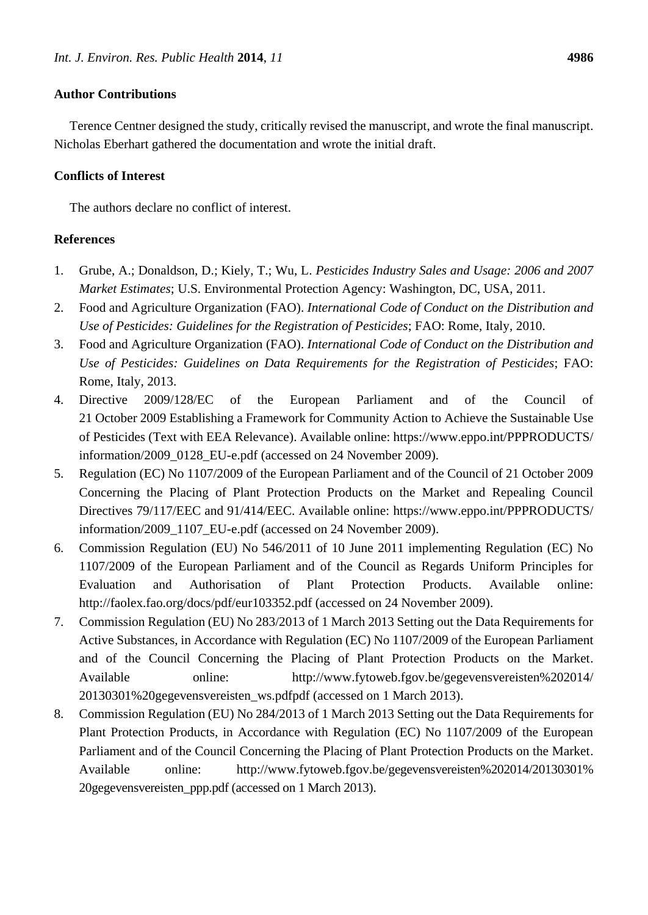## **Author Contributions**

Terence Centner designed the study, critically revised the manuscript, and wrote the final manuscript. Nicholas Eberhart gathered the documentation and wrote the initial draft.

## **Conflicts of Interest**

The authors declare no conflict of interest.

## **References**

- 1. Grube, A.; Donaldson, D.; Kiely, T.; Wu, L. *Pesticides Industry Sales and Usage: 2006 and 2007 Market Estimates*; U.S. Environmental Protection Agency: Washington, DC, USA, 2011.
- 2. Food and Agriculture Organization (FAO). *International Code of Conduct on the Distribution and Use of Pesticides: Guidelines for the Registration of Pesticides*; FAO: Rome, Italy, 2010.
- 3. Food and Agriculture Organization (FAO). *International Code of Conduct on the Distribution and Use of Pesticides: Guidelines on Data Requirements for the Registration of Pesticides*; FAO: Rome, Italy, 2013.
- 4. Directive 2009/128/EC of the European Parliament and of the Council of 21 October 2009 Establishing a Framework for Community Action to Achieve the Sustainable Use of Pesticides (Text with EEA Relevance). Available online: https://www.eppo.int/PPPRODUCTS/ information/2009\_0128\_EU-e.pdf (accessed on 24 November 2009).
- 5. Regulation (EC) No 1107/2009 of the European Parliament and of the Council of 21 October 2009 Concerning the Placing of Plant Protection Products on the Market and Repealing Council Directives 79/117/EEC and 91/414/EEC. Available online: https://www.eppo.int/PPPRODUCTS/ information/2009\_1107\_EU-e.pdf (accessed on 24 November 2009).
- 6. Commission Regulation (EU) No 546/2011 of 10 June 2011 implementing Regulation (EC) No 1107/2009 of the European Parliament and of the Council as Regards Uniform Principles for Evaluation and Authorisation of Plant Protection Products. Available online: http://faolex.fao.org/docs/pdf/eur103352.pdf (accessed on 24 November 2009).
- 7. Commission Regulation (EU) No 283/2013 of 1 March 2013 Setting out the Data Requirements for Active Substances, in Accordance with Regulation (EC) No 1107/2009 of the European Parliament and of the Council Concerning the Placing of Plant Protection Products on the Market. Available online: http://www.fytoweb.fgov.be/gegevensvereisten%202014/ 20130301%20gegevensvereisten\_ws.pdfpdf (accessed on 1 March 2013).
- 8. Commission Regulation (EU) No 284/2013 of 1 March 2013 Setting out the Data Requirements for Plant Protection Products, in Accordance with Regulation (EC) No 1107/2009 of the European Parliament and of the Council Concerning the Placing of Plant Protection Products on the Market. Available online: http://www.fytoweb.fgov.be/gegevensvereisten%202014/20130301% 20gegevensvereisten\_ppp.pdf (accessed on 1 March 2013).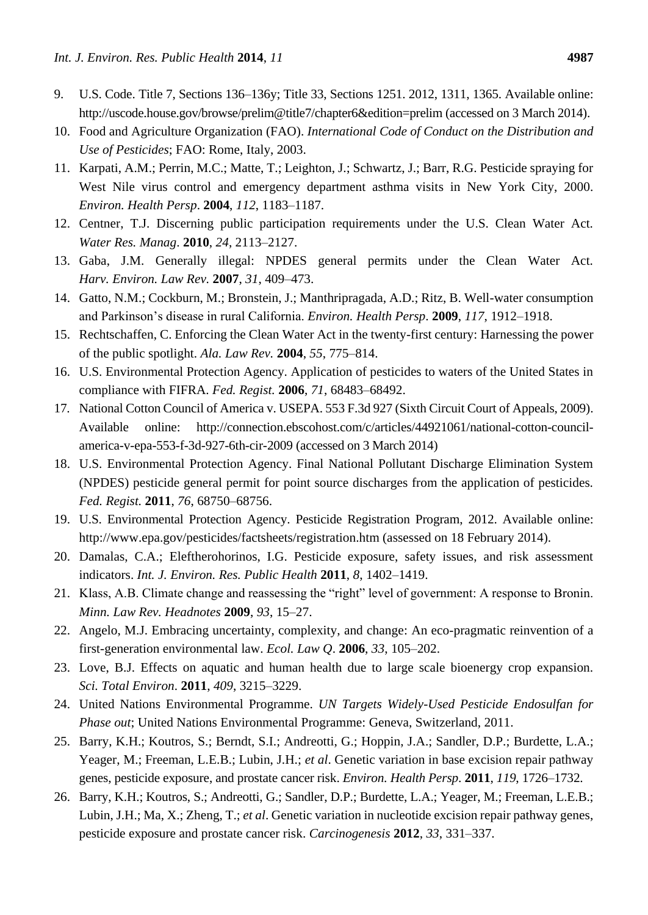- 9. U.S. Code. Title 7, Sections 136–136y; Title 33, Sections 1251. 2012, 1311, 1365. Available online: http://uscode.house.gov/browse/prelim@title7/chapter6&edition=prelim (accessed on 3 March 2014).
- 10. Food and Agriculture Organization (FAO). *International Code of Conduct on the Distribution and Use of Pesticides*; FAO: Rome, Italy, 2003.
- 11. Karpati, A.M.; Perrin, M.C.; Matte, T.; Leighton, J.; Schwartz, J.; Barr, R.G. Pesticide spraying for West Nile virus control and emergency department asthma visits in New York City, 2000. *Environ. Health Persp*. **2004**, *112*, 1183–1187.
- 12. Centner, T.J. Discerning public participation requirements under the U.S. Clean Water Act. *Water Res. Manag*. **2010**, *24*, 2113–2127.
- 13. Gaba, J.M. Generally illegal: NPDES general permits under the Clean Water Act. *Harv. Environ. Law Rev.* **2007**, *31*, 409–473.
- 14. Gatto, N.M.; Cockburn, M.; Bronstein, J.; Manthripragada, A.D.; Ritz, B. Well-water consumption and Parkinson's disease in rural California. *Environ. Health Persp*. **2009**, *117*, 1912–1918.
- 15. Rechtschaffen, C. Enforcing the Clean Water Act in the twenty-first century: Harnessing the power of the public spotlight. *Ala. Law Rev.* **2004**, *55*, 775–814.
- 16. U.S. Environmental Protection Agency. Application of pesticides to waters of the United States in compliance with FIFRA. *Fed. Regist.* **2006**, *71*, 68483–68492.
- 17. National Cotton Council of America v. USEPA. 553 F.3d 927 (Sixth Circuit Court of Appeals, 2009). Available online: http://connection.ebscohost.com/c/articles/44921061/national-cotton-councilamerica-v-epa-553-f-3d-927-6th-cir-2009 (accessed on 3 March 2014)
- 18. U.S. Environmental Protection Agency. Final National Pollutant Discharge Elimination System (NPDES) pesticide general permit for point source discharges from the application of pesticides. *Fed. Regist.* **2011**, *76*, 68750–68756.
- 19. U.S. Environmental Protection Agency. Pesticide Registration Program, 2012. Available online: http://www.epa.gov/pesticides/factsheets/registration.htm (assessed on 18 February 2014).
- 20. Damalas, C.A.; Eleftherohorinos, I.G. Pesticide exposure, safety issues, and risk assessment indicators. *Int. J. Environ. Res. Public Health* **2011**, *8*, 1402–1419.
- 21. Klass, A.B. Climate change and reassessing the "right" level of government: A response to Bronin. *Minn. Law Rev. Headnotes* **2009**, *93*, 15–27.
- 22. Angelo, M.J. Embracing uncertainty, complexity, and change: An eco-pragmatic reinvention of a first-generation environmental law. *Ecol. Law Q*. **2006**, *33*, 105–202.
- 23. Love, B.J. Effects on aquatic and human health due to large scale bioenergy crop expansion. *Sci. Total Environ*. **2011**, *409*, 3215–3229.
- 24. United Nations Environmental Programme. *UN Targets Widely-Used Pesticide Endosulfan for Phase out*; United Nations Environmental Programme: Geneva, Switzerland, 2011.
- 25. Barry, K.H.; Koutros, S.; Berndt, S.I.; Andreotti, G.; Hoppin, J.A.; Sandler, D.P.; Burdette, L.A.; Yeager, M.; Freeman, L.E.B.; Lubin, J.H.; *et al*. Genetic variation in base excision repair pathway genes, pesticide exposure, and prostate cancer risk. *Environ. Health Persp*. **2011**, *119*, 1726–1732.
- 26. Barry, K.H.; Koutros, S.; Andreotti, G.; Sandler, D.P.; Burdette, L.A.; Yeager, M.; Freeman, L.E.B.; Lubin, J.H.; Ma, X.; Zheng, T.; *et al*. Genetic variation in nucleotide excision repair pathway genes, pesticide exposure and prostate cancer risk. *Carcinogenesis* **2012**, *33*, 331–337.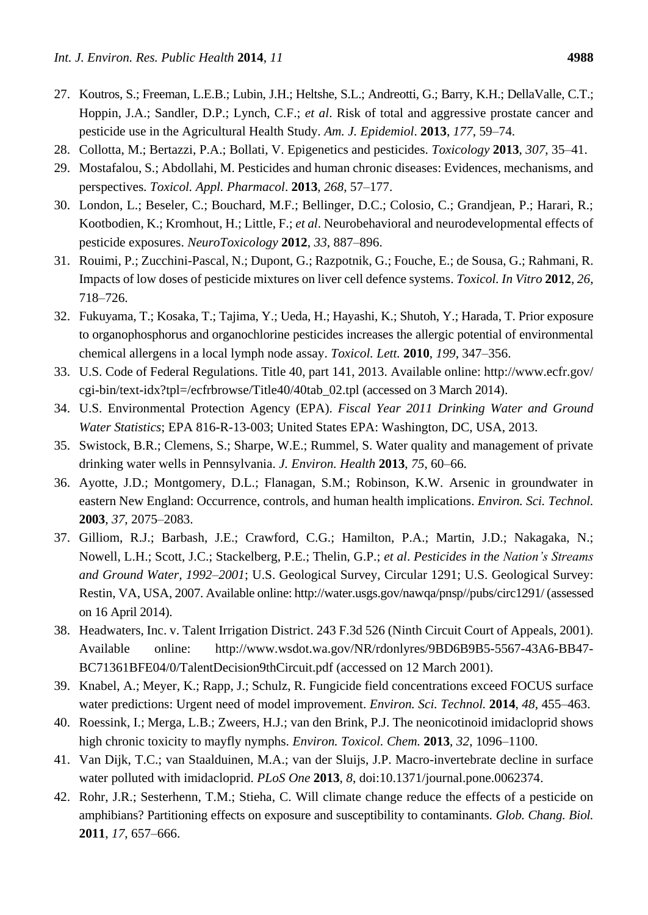- 27. Koutros, S.; Freeman, L.E.B.; Lubin, J.H.; Heltshe, S.L.; Andreotti, G.; Barry, K.H.; DellaValle, C.T.; Hoppin, J.A.; Sandler, D.P.; Lynch, C.F.; *et al*. Risk of total and aggressive prostate cancer and pesticide use in the Agricultural Health Study. *Am. J. Epidemiol*. **2013**, *177*, 59–74.
- 28. Collotta, M.; Bertazzi, P.A.; Bollati, V. Epigenetics and pesticides. *Toxicology* **2013**, *307*, 35–41.
- 29. Mostafalou, S.; Abdollahi, M. Pesticides and human chronic diseases: Evidences, mechanisms, and perspectives. *Toxicol. Appl. Pharmacol*. **2013**, *268*, 57–177.
- 30. London, L.; Beseler, C.; Bouchard, M.F.; Bellinger, D.C.; Colosio, C.; Grandjean, P.; Harari, R.; Kootbodien, K.; Kromhout, H.; Little, F.; *et al*. Neurobehavioral and neurodevelopmental effects of pesticide exposures. *NeuroToxicology* **2012**, *33*, 887–896.
- 31. Rouimi, P.; Zucchini-Pascal, N.; Dupont, G.; Razpotnik, G.; Fouche, E.; de Sousa, G.; Rahmani, R. Impacts of low doses of pesticide mixtures on liver cell defence systems. *Toxicol. In Vitro* **2012**, *26*, 718–726.
- 32. Fukuyama, T.; Kosaka, T.; Tajima, Y.; Ueda, H.; Hayashi, K.; Shutoh, Y.; Harada, T. Prior exposure to organophosphorus and organochlorine pesticides increases the allergic potential of environmental chemical allergens in a local lymph node assay. *Toxicol. Lett.* **2010**, *199*, 347–356.
- 33. U.S. Code of Federal Regulations. Title 40, part 141, 2013. Available online: http://www.ecfr.gov/ cgi-bin/text-idx?tpl=/ecfrbrowse/Title40/40tab\_02.tpl (accessed on 3 March 2014).
- 34. U.S. Environmental Protection Agency (EPA). *Fiscal Year 2011 Drinking Water and Ground Water Statistics*; EPA 816-R-13-003; United States EPA: Washington, DC, USA, 2013.
- 35. Swistock, B.R.; Clemens, S.; Sharpe, W.E.; Rummel, S. Water quality and management of private drinking water wells in Pennsylvania. *J. Environ. Health* **2013**, *75*, 60–66.
- 36. Ayotte, J.D.; Montgomery, D.L.; Flanagan, S.M.; Robinson, K.W. Arsenic in groundwater in eastern New England: Occurrence, controls, and human health implications. *Environ. Sci. Technol.* **2003**, *37*, 2075–2083.
- 37. Gilliom, R.J.; Barbash, J.E.; Crawford, C.G.; Hamilton, P.A.; Martin, J.D.; Nakagaka, N.; Nowell, L.H.; Scott, J.C.; Stackelberg, P.E.; Thelin, G.P.; *et al*. *Pesticides in the Nation's Streams and Ground Water, 1992–2001*; U.S. Geological Survey, Circular 1291; U.S. Geological Survey: Restin, VA, USA, 2007. Available online: http://water.usgs.gov/nawqa/pnsp//pubs/circ1291/ (assessed on 16 April 2014).
- 38. Headwaters, Inc. v. Talent Irrigation District. 243 F.3d 526 (Ninth Circuit Court of Appeals, 2001). Available online: http://www.wsdot.wa.gov/NR/rdonlyres/9BD6B9B5-5567-43A6-BB47- BC71361BFE04/0/TalentDecision9thCircuit.pdf (accessed on 12 March 2001).
- 39. Knabel, A.; Meyer, K.; Rapp, J.; Schulz, R. Fungicide field concentrations exceed FOCUS surface water predictions: Urgent need of model improvement. *Environ. Sci. Technol.* **2014**, *48*, 455–463.
- 40. Roessink, I.; Merga, L.B.; Zweers, H.J.; van den Brink, P.J. The neonicotinoid imidacloprid shows high chronic toxicity to mayfly nymphs. *Environ. Toxicol. Chem.* **2013**, *32*, 1096–1100.
- 41. Van Dijk, T.C.; van Staalduinen, M.A.; van der Sluijs, J.P. Macro-invertebrate decline in surface water polluted with imidacloprid. *PLoS One* **2013**, *8*, doi:10.1371/journal.pone.0062374.
- 42. Rohr, J.R.; Sesterhenn, T.M.; Stieha, C. Will climate change reduce the effects of a pesticide on amphibians? Partitioning effects on exposure and susceptibility to contaminants. *Glob. Chang. Biol.* **2011**, *17*, 657–666.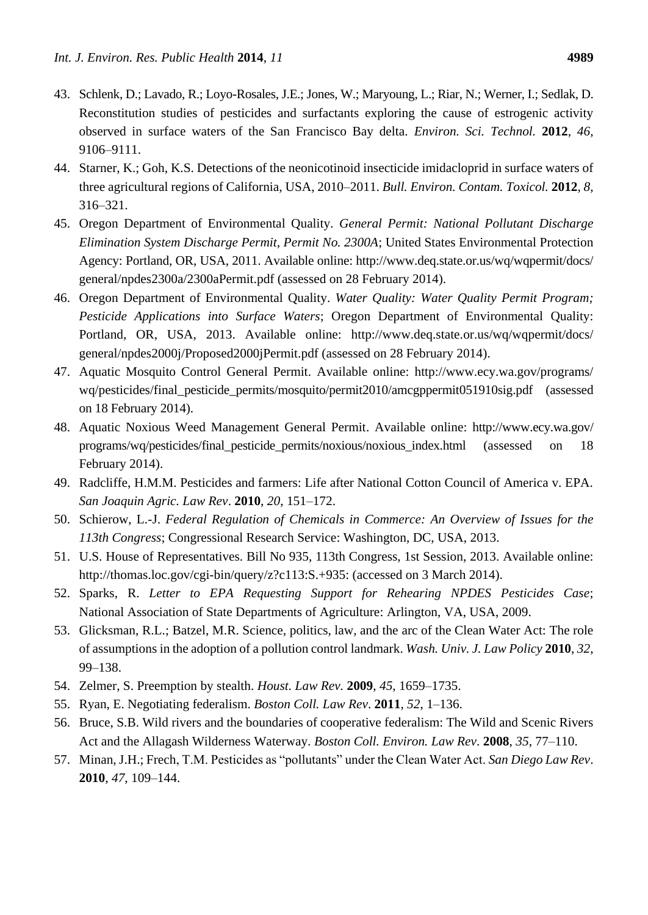- 43. Schlenk, D.; Lavado, R.; Loyo-Rosales, J.E.; Jones, W.; Maryoung, L.; Riar, N.; Werner, I.; Sedlak, D. Reconstitution studies of pesticides and surfactants exploring the cause of estrogenic activity observed in surface waters of the San Francisco Bay delta. *Environ. Sci. Technol.* **2012**, *46*, 9106–9111.
- 44. Starner, K.; Goh, K.S. Detections of the neonicotinoid insecticide imidacloprid in surface waters of three agricultural regions of California, USA, 2010–2011. *Bull. Environ. Contam. Toxicol.* **2012**, *8*, 316–321.
- 45. Oregon Department of Environmental Quality. *General Permit: National Pollutant Discharge Elimination System Discharge Permit, Permit No. 2300A*; United States Environmental Protection Agency: Portland, OR, USA, 2011. Available online: http://www.deq.state.or.us/wq/wqpermit/docs/ general/npdes2300a/2300aPermit.pdf (assessed on 28 February 2014).
- 46. Oregon Department of Environmental Quality. *Water Quality: Water Quality Permit Program; Pesticide Applications into Surface Waters*; Oregon Department of Environmental Quality: Portland, OR, USA, 2013. Available online: http://www.deq.state.or.us/wq/wqpermit/docs/ general/npdes2000j/Proposed2000jPermit.pdf (assessed on 28 February 2014).
- 47. Aquatic Mosquito Control General Permit. Available online: http://www.ecy.wa.gov/programs/ wq/pesticides/final\_pesticide\_permits/mosquito/permit2010/amcgppermit051910sig.pdf (assessed on 18 February 2014).
- 48. Aquatic Noxious Weed Management General Permit. Available online: http://www.ecy.wa.gov/ programs/wq/pesticides/final\_pesticide\_permits/noxious/noxious\_index.html (assessed on 18 February 2014).
- 49. Radcliffe, H.M.M. Pesticides and farmers: Life after National Cotton Council of America v. EPA. *San Joaquin Agric. Law Rev*. **2010**, *20*, 151–172.
- 50. Schierow, L.-J. *Federal Regulation of Chemicals in Commerce: An Overview of Issues for the 113th Congress*; Congressional Research Service: Washington, DC, USA, 2013.
- 51. U.S. House of Representatives. Bill No 935, 113th Congress, 1st Session, 2013. Available online: http://thomas.loc.gov/cgi-bin/query/z?c113:S.+935: (accessed on 3 March 2014).
- 52. Sparks, R. *Letter to EPA Requesting Support for Rehearing NPDES Pesticides Case*; National Association of State Departments of Agriculture: Arlington, VA, USA, 2009.
- 53. Glicksman, R.L.; Batzel, M.R. Science, politics, law, and the arc of the Clean Water Act: The role of assumptions in the adoption of a pollution control landmark. *Wash. Univ. J. Law Policy* **2010**, *32*, 99–138.
- 54. Zelmer, S. Preemption by stealth. *Houst. Law Rev.* **2009**, *45*, 1659–1735.
- 55. Ryan, E. Negotiating federalism. *Boston Coll. Law Rev*. **2011**, *52*, 1–136.
- 56. Bruce, S.B. Wild rivers and the boundaries of cooperative federalism: The Wild and Scenic Rivers Act and the Allagash Wilderness Waterway. *Boston Coll. Environ. Law Rev*. **2008**, *35*, 77–110.
- 57. Minan, J.H.; Frech, T.M. Pesticides as "pollutants" under the Clean Water Act. *San Diego Law Rev*. **2010**, *47*, 109–144.